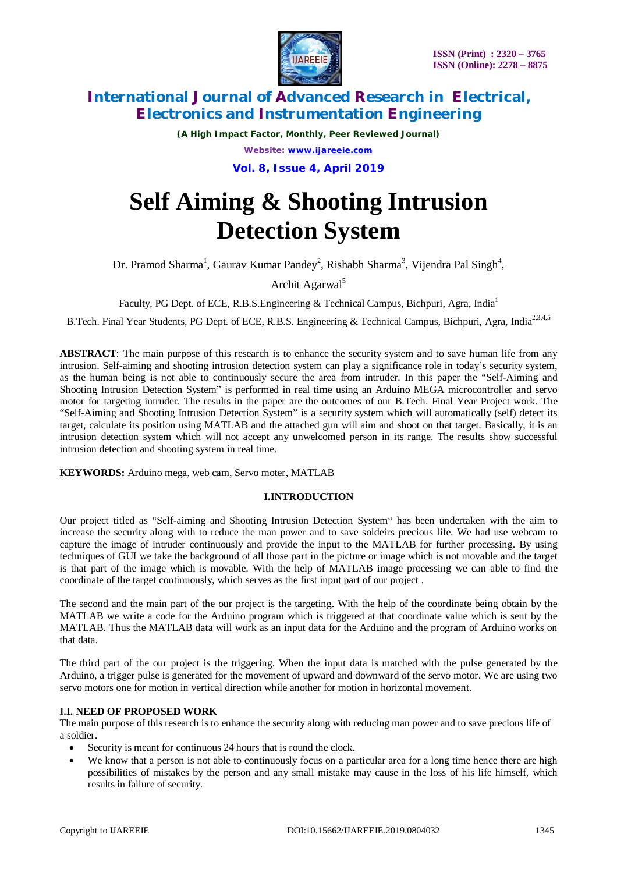

*(A High Impact Factor, Monthly, Peer Reviewed Journal) Website: [www.ijareeie.com](http://www.ijareeie.com)* **Vol. 8, Issue 4, April 2019**

# **Self Aiming & Shooting Intrusion Detection System**

Dr. Pramod Sharma<sup>1</sup>, Gaurav Kumar Pandey<sup>2</sup>, Rishabh Sharma<sup>3</sup>, Vijendra Pal Singh<sup>4</sup>,

Archit Agarwal<sup>5</sup>

Faculty, PG Dept. of ECE, R.B.S.Engineering & Technical Campus, Bichpuri, Agra, India<sup>1</sup>

B.Tech. Final Year Students, PG Dept. of ECE, R.B.S. Engineering & Technical Campus, Bichpuri, Agra, India<sup>2,3,4,5</sup>

**ABSTRACT**: The main purpose of this research is to enhance the security system and to save human life from any intrusion. Self-aiming and shooting intrusion detection system can play a significance role in today's security system, as the human being is not able to continuously secure the area from intruder. In this paper the "Self-Aiming and Shooting Intrusion Detection System" is performed in real time using an Arduino MEGA microcontroller and servo motor for targeting intruder. The results in the paper are the outcomes of our B.Tech. Final Year Project work. The "Self-Aiming and Shooting Intrusion Detection System" is a security system which will automatically (self) detect its target, calculate its position using MATLAB and the attached gun will aim and shoot on that target. Basically, it is an intrusion detection system which will not accept any unwelcomed person in its range. The results show successful intrusion detection and shooting system in real time.

**KEYWORDS:** Arduino mega, web cam, Servo moter, MATLAB

## **I.INTRODUCTION**

Our project titled as "Self-aiming and Shooting Intrusion Detection System" has been undertaken with the aim to increase the security along with to reduce the man power and to save soldeirs precious life. We had use webcam to capture the image of intruder continuously and provide the input to the MATLAB for further processing. By using techniques of GUI we take the background of all those part in the picture or image which is not movable and the target is that part of the image which is movable. With the help of MATLAB image processing we can able to find the coordinate of the target continuously, which serves as the first input part of our project .

The second and the main part of the our project is the targeting. With the help of the coordinate being obtain by the MATLAB we write a code for the Arduino program which is triggered at that coordinate value which is sent by the MATLAB. Thus the MATLAB data will work as an input data for the Arduino and the program of Arduino works on that data.

The third part of the our project is the triggering. When the input data is matched with the pulse generated by the Arduino, a trigger pulse is generated for the movement of upward and downward of the servo motor. We are using two servo motors one for motion in vertical direction while another for motion in horizontal movement.

## **I.I. NEED OF PROPOSED WORK**

The main purpose of this research is to enhance the security along with reducing man power and to save precious life of a soldier.

- Security is meant for continuous 24 hours that is round the clock.
- We know that a person is not able to continuously focus on a particular area for a long time hence there are high possibilities of mistakes by the person and any small mistake may cause in the loss of his life himself, which results in failure of security.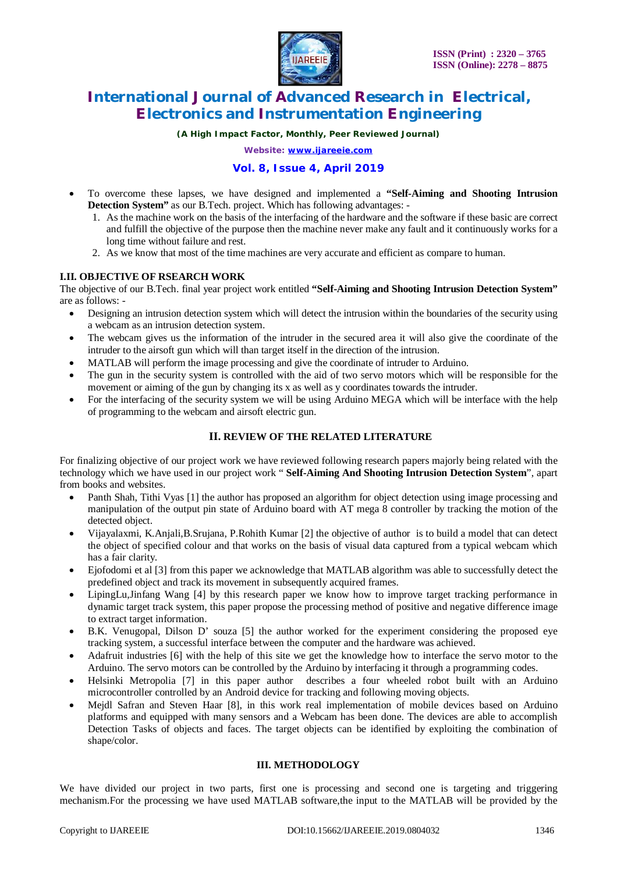

*(A High Impact Factor, Monthly, Peer Reviewed Journal)*

*Website: [www.ijareeie.com](http://www.ijareeie.com)*

### **Vol. 8, Issue 4, April 2019**

- To overcome these lapses, we have designed and implemented a **"Self-Aiming and Shooting Intrusion Detection System"** as our B.Tech. project. Which has following advantages: -
	- 1. As the machine work on the basis of the interfacing of the hardware and the software if these basic are correct and fulfill the objective of the purpose then the machine never make any fault and it continuously works for a long time without failure and rest.
	- 2. As we know that most of the time machines are very accurate and efficient as compare to human.

#### **I.II. OBJECTIVE OF RSEARCH WORK**

The objective of our B.Tech. final year project work entitled **"Self-Aiming and Shooting Intrusion Detection System"**  are as follows: -

- Designing an intrusion detection system which will detect the intrusion within the boundaries of the security using a webcam as an intrusion detection system.
- The webcam gives us the information of the intruder in the secured area it will also give the coordinate of the intruder to the airsoft gun which will than target itself in the direction of the intrusion.
- MATLAB will perform the image processing and give the coordinate of intruder to Arduino.
- The gun in the security system is controlled with the aid of two servo motors which will be responsible for the movement or aiming of the gun by changing its x as well as y coordinates towards the intruder.
- For the interfacing of the security system we will be using Arduino MEGA which will be interface with the help of programming to the webcam and airsoft electric gun.

## **II. REVIEW OF THE RELATED LITERATURE**

For finalizing objective of our project work we have reviewed following research papers majorly being related with the technology which we have used in our project work " **Self-Aiming And Shooting Intrusion Detection System**", apart from books and websites.

- Panth Shah, Tithi Vyas [1] the author has proposed an algorithm for object detection using image processing and manipulation of the output pin state of Arduino board with AT mega 8 controller by tracking the motion of the detected object.
- Vijayalaxmi, K.Anjali,B.Srujana, P.Rohith Kumar [2] the objective of author is to build a model that can detect the object of specified colour and that works on the basis of visual data captured from a typical webcam which has a fair clarity.
- Ejofodomi et al [3] from this paper we acknowledge that MATLAB algorithm was able to successfully detect the predefined object and track its movement in subsequently acquired frames.
- LipingLu,Jinfang Wang [4] by this research paper we know how to improve target tracking performance in dynamic target track system, this paper propose the processing method of positive and negative difference image to extract target information.
- B.K. Venugopal, Dilson D' souza [5] the author worked for the experiment considering the proposed eye tracking system, a successful interface between the computer and the hardware was achieved.
- Adafruit industries [6] with the help of this site we get the knowledge how to interface the servo motor to the Arduino. The servo motors can be controlled by the Arduino by interfacing it through a programming codes.
- Helsinki Metropolia [7] in this paper author describes a four wheeled robot built with an Arduino microcontroller controlled by an Android device for tracking and following moving objects.
- Mejdl Safran and Steven Haar [8], in this work real implementation of mobile devices based on Arduino platforms and equipped with many sensors and a Webcam has been done. The devices are able to accomplish Detection Tasks of objects and faces. The target objects can be identified by exploiting the combination of shape/color.

#### **III. METHODOLOGY**

We have divided our project in two parts, first one is processing and second one is targeting and triggering mechanism.For the processing we have used MATLAB software,the input to the MATLAB will be provided by the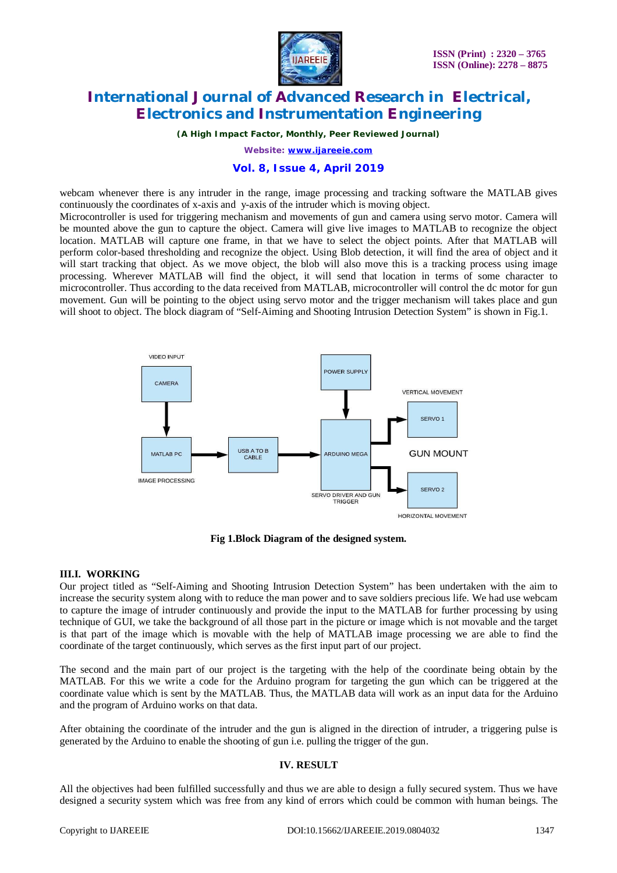

*(A High Impact Factor, Monthly, Peer Reviewed Journal)*

*Website: [www.ijareeie.com](http://www.ijareeie.com)*

#### **Vol. 8, Issue 4, April 2019**

webcam whenever there is any intruder in the range, image processing and tracking software the MATLAB gives continuously the coordinates of x-axis and y-axis of the intruder which is moving object.

Microcontroller is used for triggering mechanism and movements of gun and camera using servo motor. Camera will be mounted above the gun to capture the object. Camera will give live images to MATLAB to recognize the object location. MATLAB will capture one frame, in that we have to select the object points. After that MATLAB will perform color-based thresholding and recognize the object. Using Blob detection, it will find the area of object and it will start tracking that object. As we move object, the blob will also move this is a tracking process using image processing. Wherever MATLAB will find the object, it will send that location in terms of some character to microcontroller. Thus according to the data received from MATLAB, microcontroller will control the dc motor for gun movement. Gun will be pointing to the object using servo motor and the trigger mechanism will takes place and gun will shoot to object. The block diagram of "Self-Aiming and Shooting Intrusion Detection System" is shown in Fig.1.



**Fig 1.Block Diagram of the designed system.**

#### **III.I. WORKING**

Our project titled as "Self-Aiming and Shooting Intrusion Detection System" has been undertaken with the aim to increase the security system along with to reduce the man power and to save soldiers precious life. We had use webcam to capture the image of intruder continuously and provide the input to the MATLAB for further processing by using technique of GUI, we take the background of all those part in the picture or image which is not movable and the target is that part of the image which is movable with the help of MATLAB image processing we are able to find the coordinate of the target continuously, which serves as the first input part of our project.

The second and the main part of our project is the targeting with the help of the coordinate being obtain by the MATLAB. For this we write a code for the Arduino program for targeting the gun which can be triggered at the coordinate value which is sent by the MATLAB. Thus, the MATLAB data will work as an input data for the Arduino and the program of Arduino works on that data.

After obtaining the coordinate of the intruder and the gun is aligned in the direction of intruder, a triggering pulse is generated by the Arduino to enable the shooting of gun i.e. pulling the trigger of the gun.

#### **IV. RESULT**

All the objectives had been fulfilled successfully and thus we are able to design a fully secured system. Thus we have designed a security system which was free from any kind of errors which could be common with human beings. The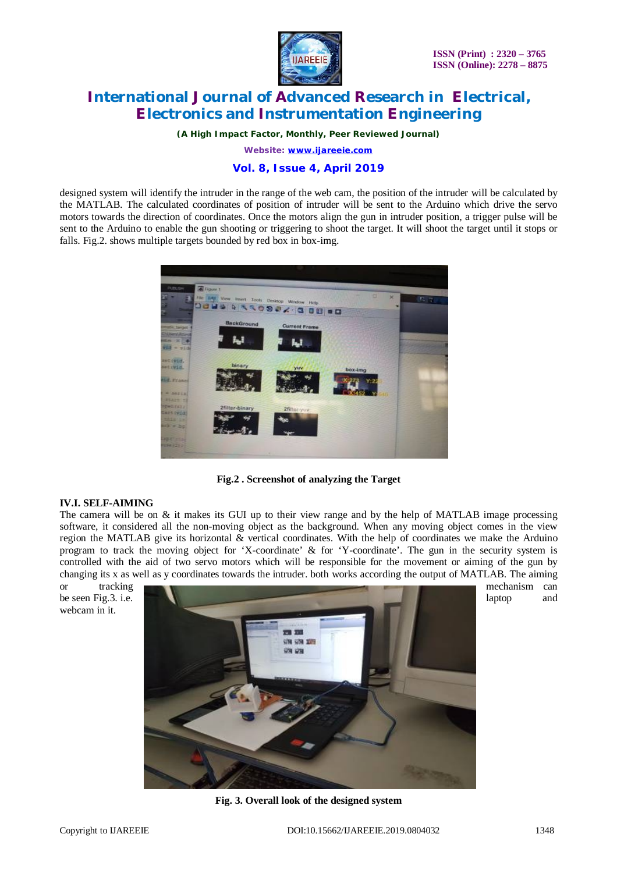

*(A High Impact Factor, Monthly, Peer Reviewed Journal)*

*Website: [www.ijareeie.com](http://www.ijareeie.com)*

### **Vol. 8, Issue 4, April 2019**

designed system will identify the intruder in the range of the web cam, the position of the intruder will be calculated by the MATLAB. The calculated coordinates of position of intruder will be sent to the Arduino which drive the servo motors towards the direction of coordinates. Once the motors align the gun in intruder position, a trigger pulse will be sent to the Arduino to enable the gun shooting or triggering to shoot the target. It will shoot the target until it stops or falls. Fig.2. shows multiple targets bounded by red box in box-img.



**Fig.2 . Screenshot of analyzing the Target**

#### **IV.I. SELF-AIMING**

The camera will be on  $\&$  it makes its GUI up to their view range and by the help of MATLAB image processing software, it considered all the non-moving object as the background. When any moving object comes in the view region the MATLAB give its horizontal & vertical coordinates. With the help of coordinates we make the Arduino program to track the moving object for 'X-coordinate' & for 'Y-coordinate'. The gun in the security system is controlled with the aid of two servo motors which will be responsible for the movement or aiming of the gun by changing its x as well as y coordinates towards the intruder. both works according the output of MATLAB. The aiming

webcam in it.



**Fig. 3. Overall look of the designed system**